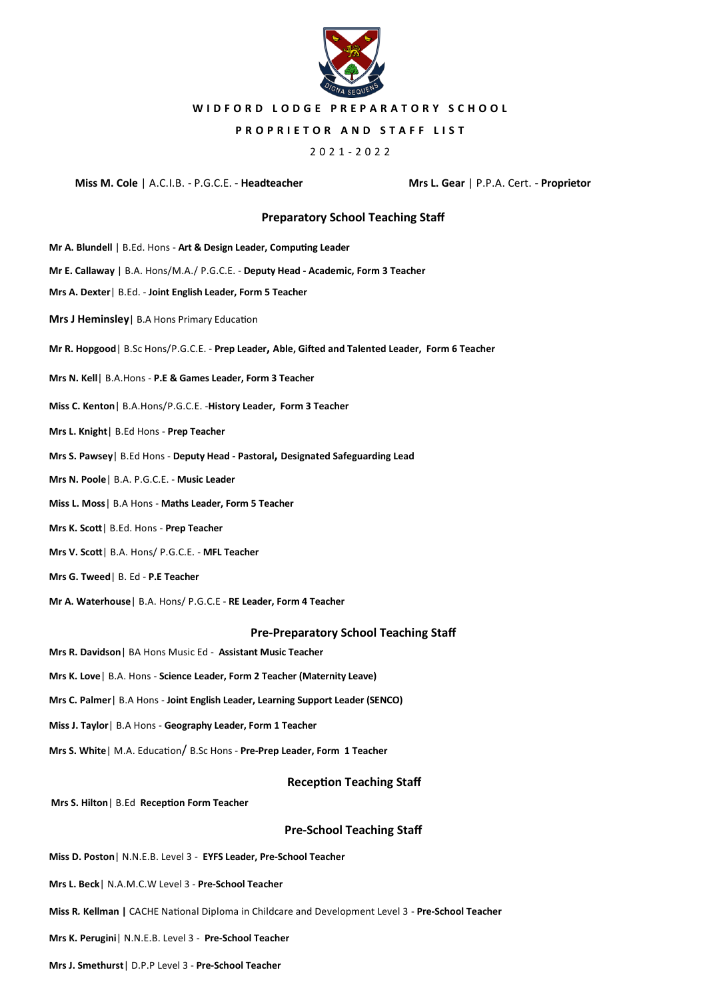

## **W I D F O R D L O D G E P R E P A R A T O R Y S C H O O L**

### **PROPRIETOR AND STAFF LIST**

## 2021 - 2022

#### **Miss M. Cole** | A.C.I.B. - P.G.C.E. - **Headteacher Mrs L. Gear** | P.P.A. Cert. - **Proprietor**

## **Preparatory School Teaching Staff**

- **Mr A. Blundell** | B.Ed. Hons **Art & Design Leader, Computing Leader**
- **Mr E. Callaway** | B.A. Hons/M.A./ P.G.C.E. **Deputy Head - Academic, Form 3 Teacher**
- **Mrs A. Dexter**| B.Ed. **Joint English Leader, Form 5 Teacher**
- **Mrs J Heminsley**| B.A Hons Primary Education
- **Mr R. Hopgood**| B.Sc Hons/P.G.C.E. **Prep Leader, Able, Gifted and Talented Leader, Form 6 Teacher**
- **Mrs N. Kell**| B.A.Hons **P.E & Games Leader, Form 3 Teacher**
- **Miss C. Kenton**| B.A.Hons/P.G.C.E. -**History Leader, Form 3 Teacher**
- **Mrs L. Knight**| B.Ed Hons **Prep Teacher**
- **Mrs S. Pawsey**| B.Ed Hons **Deputy Head - Pastoral, Designated Safeguarding Lead**
- **Mrs N. Poole**| B.A. P.G.C.E. **Music Leader**
- **Miss L. Moss**| B.A Hons **Maths Leader, Form 5 Teacher**
- **Mrs K. Scott**| B.Ed. Hons **Prep Teacher**
- **Mrs V. Scott**| B.A. Hons/ P.G.C.E. **MFL Teacher**
- **Mrs G. Tweed**| B. Ed **P.E Teacher**
- **Mr A. Waterhouse**| B.A. Hons/ P.G.C.E **RE Leader, Form 4 Teacher**

#### **Pre-Preparatory School Teaching Staff**

- **Mrs R. Davidson**| BA Hons Music Ed **Assistant Music Teacher**
- **Mrs K. Love**| B.A. Hons **Science Leader, Form 2 Teacher (Maternity Leave)**
- **Mrs C. Palmer**| B.A Hons **Joint English Leader, Learning Support Leader (SENCO)**
- **Miss J. Taylor**| B.A Hons **Geography Leader, Form 1 Teacher**
- **Mrs S. White**| M.A. Education/ B.Sc Hons **Pre-Prep Leader, Form 1 Teacher**

### **Reception Teaching Staff**

**Mrs S. Hilton**| B.Ed **Reception Form Teacher**

## **Pre-School Teaching Staff**

- **Miss D. Poston**| N.N.E.B. Level 3 **EYFS Leader, Pre-School Teacher**
- **Mrs L. Beck**| N.A.M.C.W Level 3 **Pre-School Teacher**
- **Miss R***.* **Kellman |** CACHE National Diploma in Childcare and Development Level 3 **Pre-School Teacher**
- **Mrs K. Perugini**| N.N.E.B. Level 3 **Pre-School Teacher**
- **Mrs J. Smethurst**| D.P.P Level 3 **Pre-School Teacher**